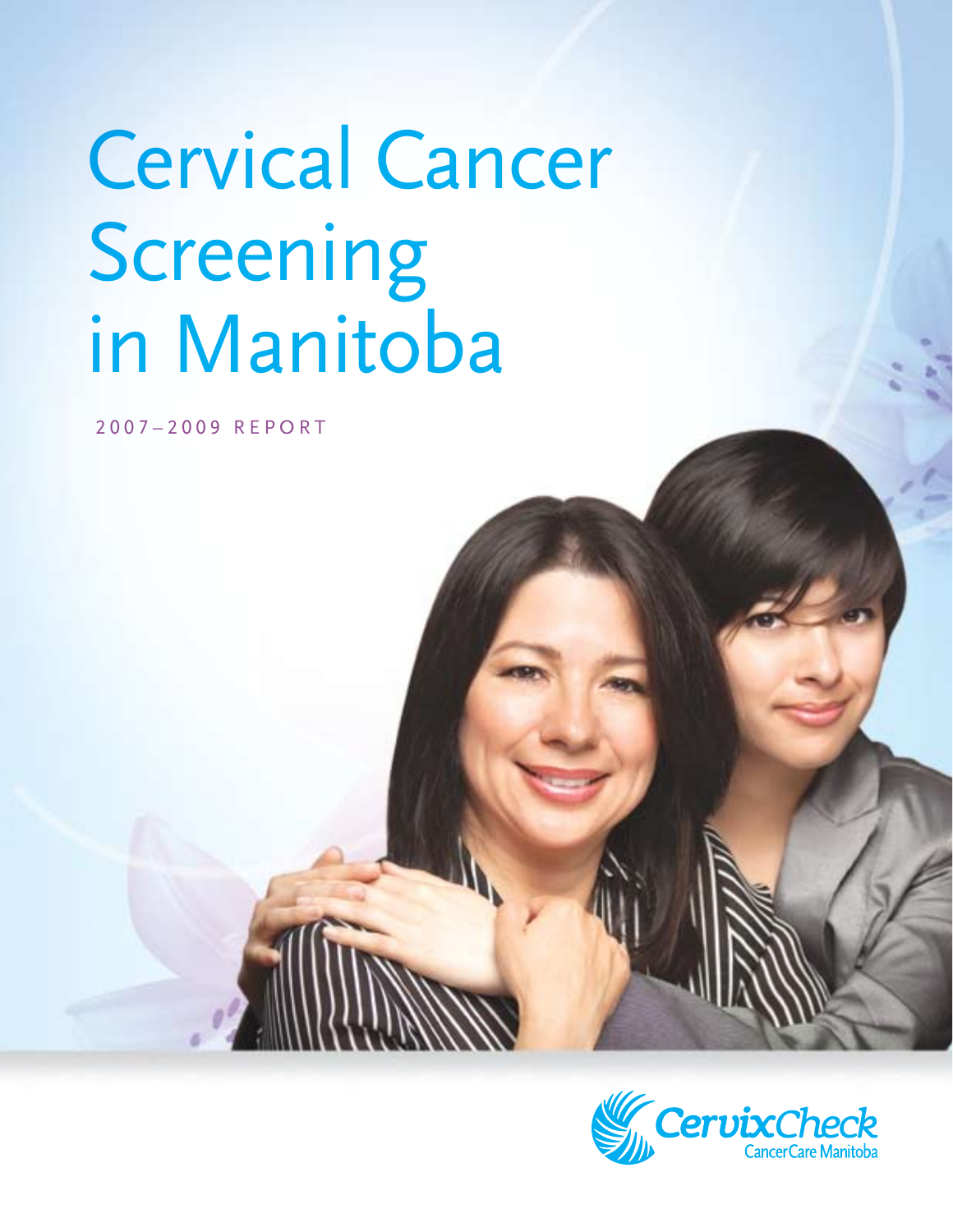# Cervical Cancer Screening in Manitoba

2007–2009 REPORT

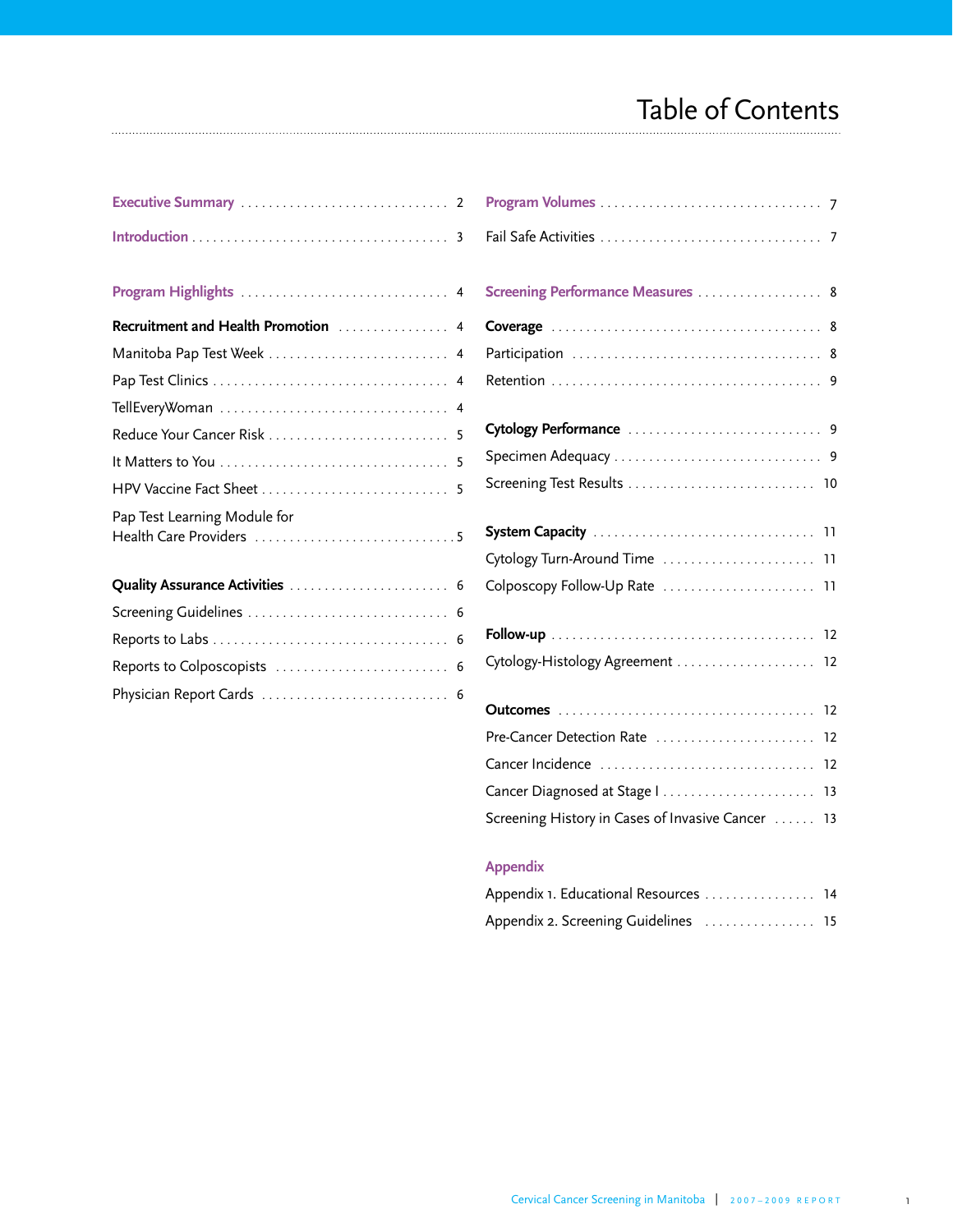# Table of Contents

| Executive Summary <b>Executive</b> Summary |  |
|--------------------------------------------|--|
|                                            |  |
|                                            |  |
|                                            |  |
| Recruitment and Health Promotion  4        |  |
| Manitoba Pap Test Week  4                  |  |
|                                            |  |
|                                            |  |
|                                            |  |
|                                            |  |
|                                            |  |
| Pap Test Learning Module for               |  |
|                                            |  |
|                                            |  |
| Quality Assurance Activities  6            |  |
|                                            |  |
|                                            |  |
|                                            |  |

Physician Report Cards . . . . . . . . . . . . . . . . . . . . . . . . . . . 6

| Screening Performance Measures  8                 |    |
|---------------------------------------------------|----|
|                                                   |    |
|                                                   |    |
|                                                   |    |
|                                                   |    |
|                                                   |    |
| Screening Test Results  10                        |    |
|                                                   |    |
| Cytology Turn-Around Time  11                     |    |
| Colposcopy Follow-Up Rate  11                     |    |
|                                                   |    |
| Cytology-Histology Agreement  12                  |    |
|                                                   |    |
| Pre-Cancer Detection Rate                         | 12 |
| Cancer Incidence                                  | 12 |
| Cancer Diagnosed at Stage    13                   |    |
| Screening History in Cases of Invasive Cancer  13 |    |

# **Appendix**

| Appendix 1. Educational Resources  14 |  |
|---------------------------------------|--|
| Appendix 2. Screening Guidelines  15  |  |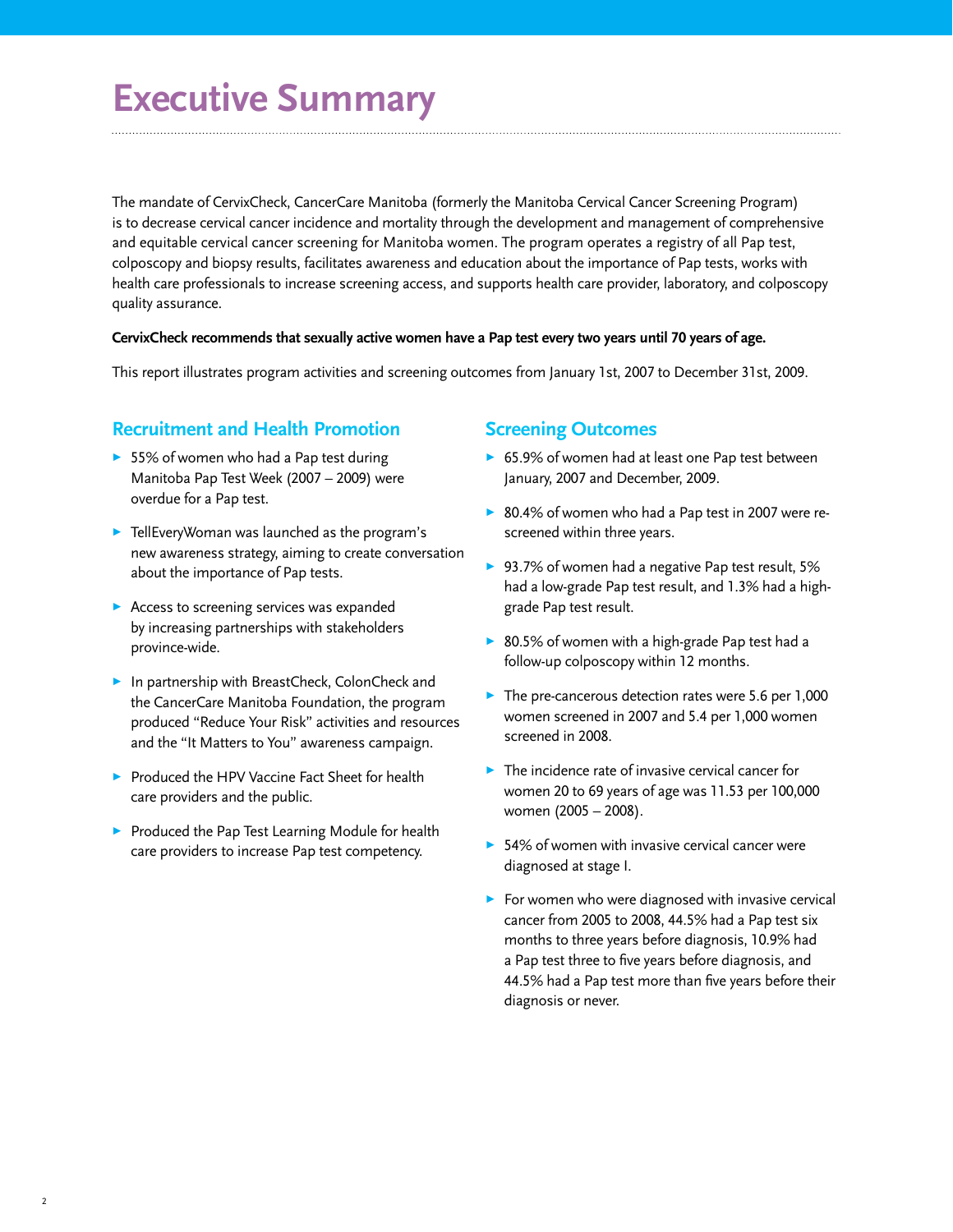# **Executive Summary**

The mandate of CervixCheck, CancerCare Manitoba (formerly the Manitoba Cervical Cancer Screening Program) is to decrease cervical cancer incidence and mortality through the development and management of comprehensive and equitable cervical cancer screening for Manitoba women. The program operates a registry of all Pap test, colposcopy and biopsy results, facilitates awareness and education about the importance of Pap tests, works with health care professionals to increase screening access, and supports health care provider, laboratory, and colposcopy quality assurance.

#### **CervixCheck recommends that sexually active women have a Pap test every two years until 70 years of age.**

This report illustrates program activities and screening outcomes from January 1st, 2007 to December 31st, 2009.

### **Recruitment and Health Promotion**

- $\triangleright$  55% of women who had a Pap test during Manitoba Pap Test Week (2007 – 2009) were overdue for a Pap test.
- $\blacktriangleright$  TellEveryWoman was launched as the program's new awareness strategy, aiming to create conversation about the importance of Pap tests.
- Access to screening services was expanded by increasing partnerships with stakeholders province-wide.
- ▶ In partnership with BreastCheck, ColonCheck and the CancerCare Manitoba Foundation, the program produced "Reduce Your Risk" activities and resources and the "It Matters to You" awareness campaign.
- Produced the HPV Vaccine Fact Sheet for health care providers and the public.
- **>** Produced the Pap Test Learning Module for health care providers to increase Pap test competency.

#### **Screening Outcomes**

- ▶ 65.9% of women had at least one Pap test between January, 2007 and December, 2009.
- ▶ 80.4% of women who had a Pap test in 2007 were rescreened within three years.
- ▶ 93.7% of women had a negative Pap test result, 5% had a low-grade Pap test result, and 1.3% had a highgrade Pap test result.
- ▶ 80.5% of women with a high-grade Pap test had a follow-up colposcopy within 12 months.
- $\blacktriangleright$  The pre-cancerous detection rates were 5.6 per 1,000 women screened in 2007 and 5.4 per 1,000 women screened in 2008.
- $\blacktriangleright$  The incidence rate of invasive cervical cancer for women 20 to 69 years of age was 11.53 per 100,000 women (2005 – 2008).
- $\triangleright$  54% of women with invasive cervical cancer were diagnosed at stage I.
- $\triangleright$  For women who were diagnosed with invasive cervical cancer from 2005 to 2008, 44.5% had a Pap test six months to three years before diagnosis, 10.9% had a Pap test three to five years before diagnosis, and 44.5% had a Pap test more than five years before their diagnosis or never.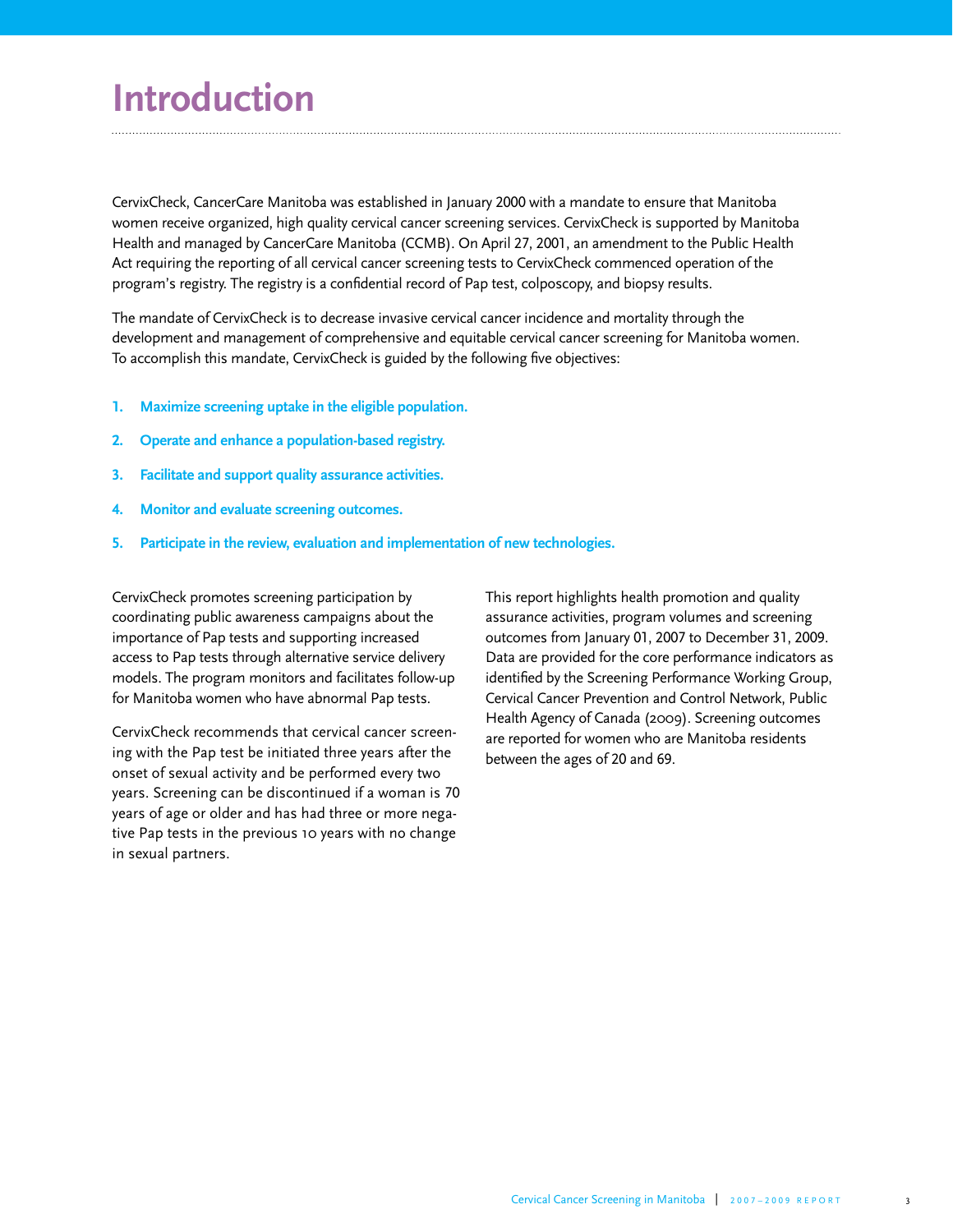# **Introduction**

CervixCheck, CancerCare Manitoba was established in January 2000 with a mandate to ensure that Manitoba women receive organized, high quality cervical cancer screening services. CervixCheck is supported by Manitoba Health and managed by CancerCare Manitoba (CCMB). On April 27, 2001, an amendment to the Public Health Act requiring the reporting of all cervical cancer screening tests to CervixCheck commenced operation of the program's registry. The registry is a confidential record of Pap test, colposcopy, and biopsy results.

The mandate of CervixCheck is to decrease invasive cervical cancer incidence and mortality through the development and management of comprehensive and equitable cervical cancer screening for Manitoba women. To accomplish this mandate, CervixCheck is guided by the following five objectives:

- **1. Maximize screening uptake in the eligible population.**
- **2. Operate and enhance a population-based registry.**
- **3. Facilitate and support quality assurance activities.**
- **4. Monitor and evaluate screening outcomes.**
- **5. Participate in the review, evaluation and implementation of new technologies.**

CervixCheck promotes screening participation by coordinating public awareness campaigns about the importance of Pap tests and supporting increased access to Pap tests through alternative service delivery models. The program monitors and facilitates follow-up for Manitoba women who have abnormal Pap tests.

CervixCheck recommends that cervical cancer screening with the Pap test be initiated three years after the onset of sexual activity and be performed every two years. Screening can be discontinued if a woman is 70 years of age or older and has had three or more negative Pap tests in the previous 10 years with no change in sexual partners.

This report highlights health promotion and quality assurance activities, program volumes and screening outcomes from January 01, 2007 to December 31, 2009. Data are provided for the core performance indicators as identified by the Screening Performance Working Group, Cervical Cancer Prevention and Control Network, Public Health Agency of Canada (2009). Screening outcomes are reported for women who are Manitoba residents between the ages of 20 and 69.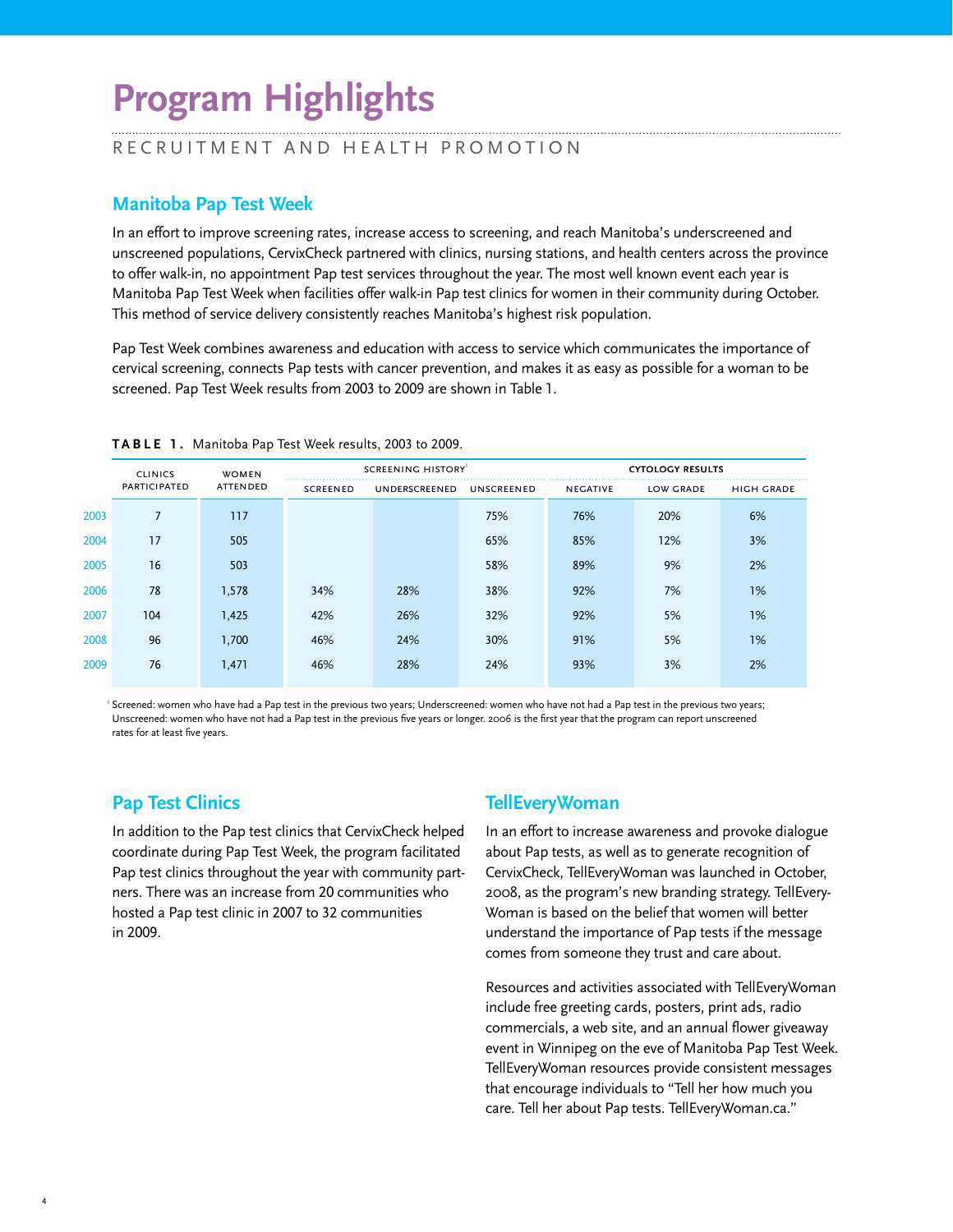# **Program Highlights**

#### RECRUITMENT AND HEALTH PROMOTION

# **Manitoba Pap Test Week**

In an effort to improve screening rates, increase access to screening, and reach Manitoba's underscreened and unscreened populations, CervixCheck partnered with clinics, nursing stations, and health centers across the province to offer walk-in, no appointment Pap test services throughout the year. The most well known event each year is Manitoba Pap Test Week when facilities offer walk-in Pap test clinics for women in their community during October. This method of service delivery consistently reaches Manitoba's highest risk population.

Pap Test Week combines awareness and education with access to service which communicates the importance of cervical screening, connects Pap tests with cancer prevention, and makes it as easy as possible for a woman to be screened. Pap Test Week results from 2003 to 2009 are shown in Table 1.

|      | <b>CLINICS</b>      | <b>WOMEN</b> |                 | SCREENING HISTORY <sup>1</sup> |            |                 | <b>CYTOLOGY RESULTS</b> |                   |
|------|---------------------|--------------|-----------------|--------------------------------|------------|-----------------|-------------------------|-------------------|
|      | <b>PARTICIPATED</b> | ATTENDED     | <b>SCREENED</b> | UNDERSCREENED                  | UNSCREENED | <b>NEGATIVE</b> | <b>LOW GRADE</b>        | <b>HIGH GRADE</b> |
| 2003 | 7                   | 117          |                 |                                | 75%        | 76%             | 20%                     | 6%                |
| 2004 | 17                  | 505          |                 |                                | 65%        | 85%             | 12%                     | 3%                |
| 2005 | 16                  | 503          |                 |                                | 58%        | 89%             | 9%                      | 2%                |
| 2006 | 78                  | 1,578        | 34%             | 28%                            | 38%        | 92%             | 7%                      | 1%                |
| 2007 | 104                 | 1,425        | 42%             | 26%                            | 32%        | 92%             | 5%                      | 1%                |
| 2008 | 96                  | 1,700        | 46%             | 24%                            | 30%        | 91%             | 5%                      | 1%                |
| 2009 | 76                  | 1,471        | 46%             | 28%                            | 24%        | 93%             | 3%                      | 2%                |
|      |                     |              |                 |                                |            |                 |                         |                   |

**TABLE 1 .** Manitoba Pap Test Week results, 2003 to 2009.

<sup>1</sup> Screened: women who have had a Pap test in the previous two years; Underscreened: women who have not had a Pap test in the previous two years; Unscreened: women who have not had a Pap test in the previous five years or longer. 2006 is the first year that the program can report unscreened rates for at least five years.

### **Pap Test Clinics**

In addition to the Pap test clinics that CervixCheck helped coordinate during Pap Test Week, the program facilitated Pap test clinics throughout the year with community partners. There was an increase from 20 communities who hosted a Pap test clinic in 2007 to 32 communities in 2009.

# **TellEveryWoman**

In an effort to increase awareness and provoke dialogue about Pap tests, as well as to generate recognition of CervixCheck, TellEveryWoman was launched in October, 2008, as the program's new branding strategy. TellEvery-Woman is based on the belief that women will better understand the importance of Pap tests if the message comes from someone they trust and care about.

Resources and activities associated with TellEveryWoman include free greeting cards, posters, print ads, radio commercials, a web site, and an annual flower giveaway event in Winnipeg on the eve of Manitoba Pap Test Week. TellEveryWoman resources provide consistent messages that encourage individuals to "Tell her how much you care. Tell her about Pap tests. TellEveryWoman.ca."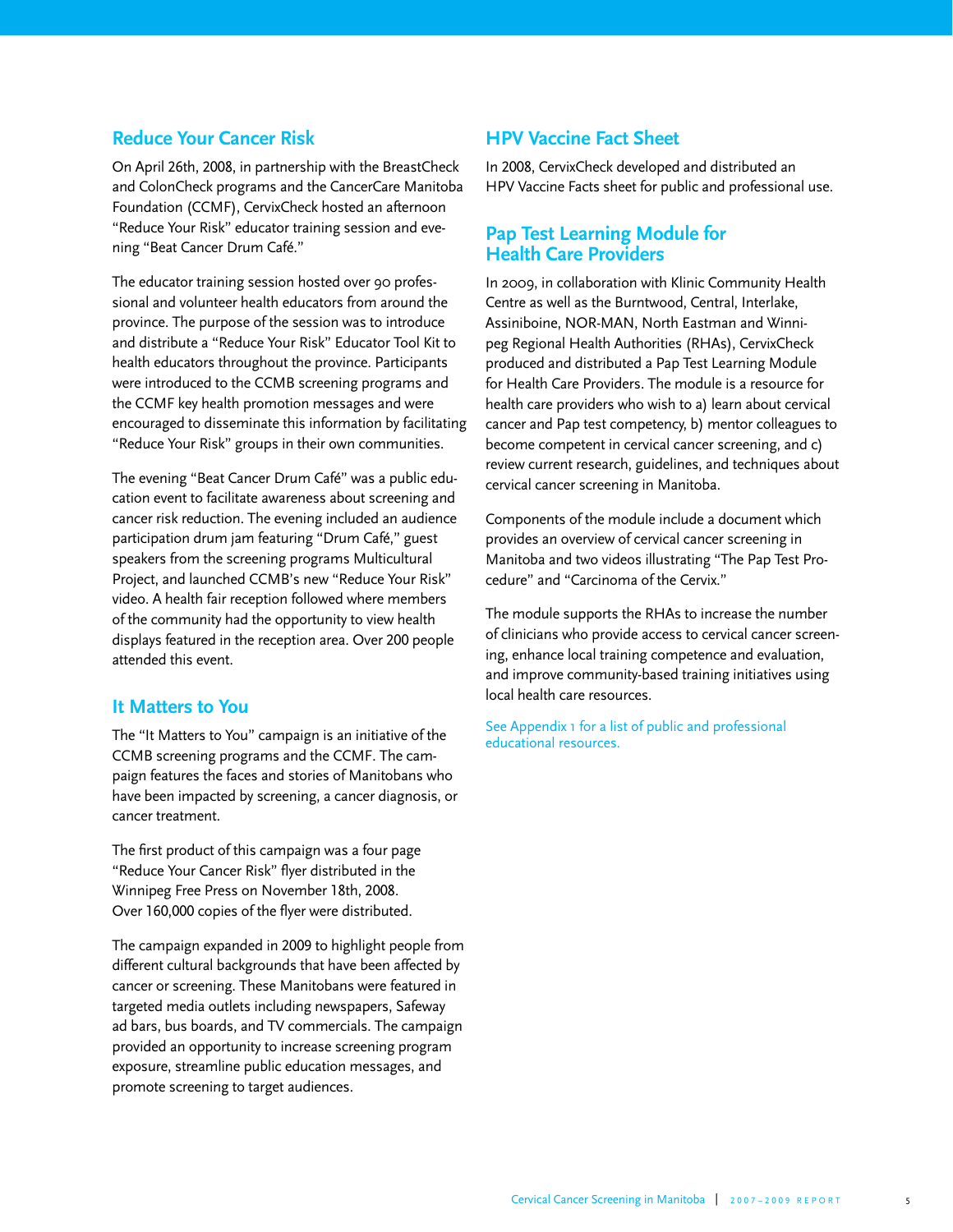### **Reduce Your Cancer Risk**

On April 26th, 2008, in partnership with the BreastCheck and ColonCheck programs and the CancerCare Manitoba Foundation (CCMF), CervixCheck hosted an afternoon "Reduce Your Risk" educator training session and evening "Beat Cancer Drum Café."

The educator training session hosted over 90 professional and volunteer health educators from around the province. The purpose of the session was to introduce and distribute a "Reduce Your Risk" Educator Tool Kit to health educators throughout the province. Participants were introduced to the CCMB screening programs and the CCMF key health promotion messages and were encouraged to disseminate this information by facilitating "Reduce Your Risk" groups in their own communities.

The evening "Beat Cancer Drum Café" was a public education event to facilitate awareness about screening and cancer risk reduction. The evening included an audience participation drum jam featuring "Drum Café," guest speakers from the screening programs Multicultural Project, and launched CCMB's new "Reduce Your Risk" video. A health fair reception followed where members of the community had the opportunity to view health displays featured in the reception area. Over 200 people attended this event.

### **It Matters to You**

The "It Matters to You" campaign is an initiative of the CCMB screening programs and the CCMF. The campaign features the faces and stories of Manitobans who have been impacted by screening, a cancer diagnosis, or cancer treatment.

The first product of this campaign was a four page "Reduce Your Cancer Risk" flyer distributed in the Winnipeg Free Press on November 18th, 2008. Over 160,000 copies of the flyer were distributed.

The campaign expanded in 2009 to highlight people from different cultural backgrounds that have been affected by cancer or screening. These Manitobans were featured in targeted media outlets including newspapers, Safeway ad bars, bus boards, and TV commercials. The campaign provided an opportunity to increase screening program exposure, streamline public education messages, and promote screening to target audiences.

### **HPV Vaccine Fact Sheet**

In 2008, CervixCheck developed and distributed an HPV Vaccine Facts sheet for public and professional use.

#### **Pap Test Learning Module for Health Care Providers**

In 2009, in collaboration with Klinic Community Health Centre as well as the Burntwood, Central, Interlake, Assiniboine, NOR-MAN, North Eastman and Winnipeg Regional Health Authorities (RHAs), CervixCheck produced and distributed a Pap Test Learning Module for Health Care Providers. The module is a resource for health care providers who wish to a) learn about cervical cancer and Pap test competency, b) mentor colleagues to become competent in cervical cancer screening, and c) review current research, guidelines, and techniques about cervical cancer screening in Manitoba.

Components of the module include a document which provides an overview of cervical cancer screening in Manitoba and two videos illustrating "The Pap Test Procedure" and "Carcinoma of the Cervix."

The module supports the RHAs to increase the number of clinicians who provide access to cervical cancer screening, enhance local training competence and evaluation, and improve community-based training initiatives using local health care resources.

See Appendix 1 for a list of public and professional educational resources.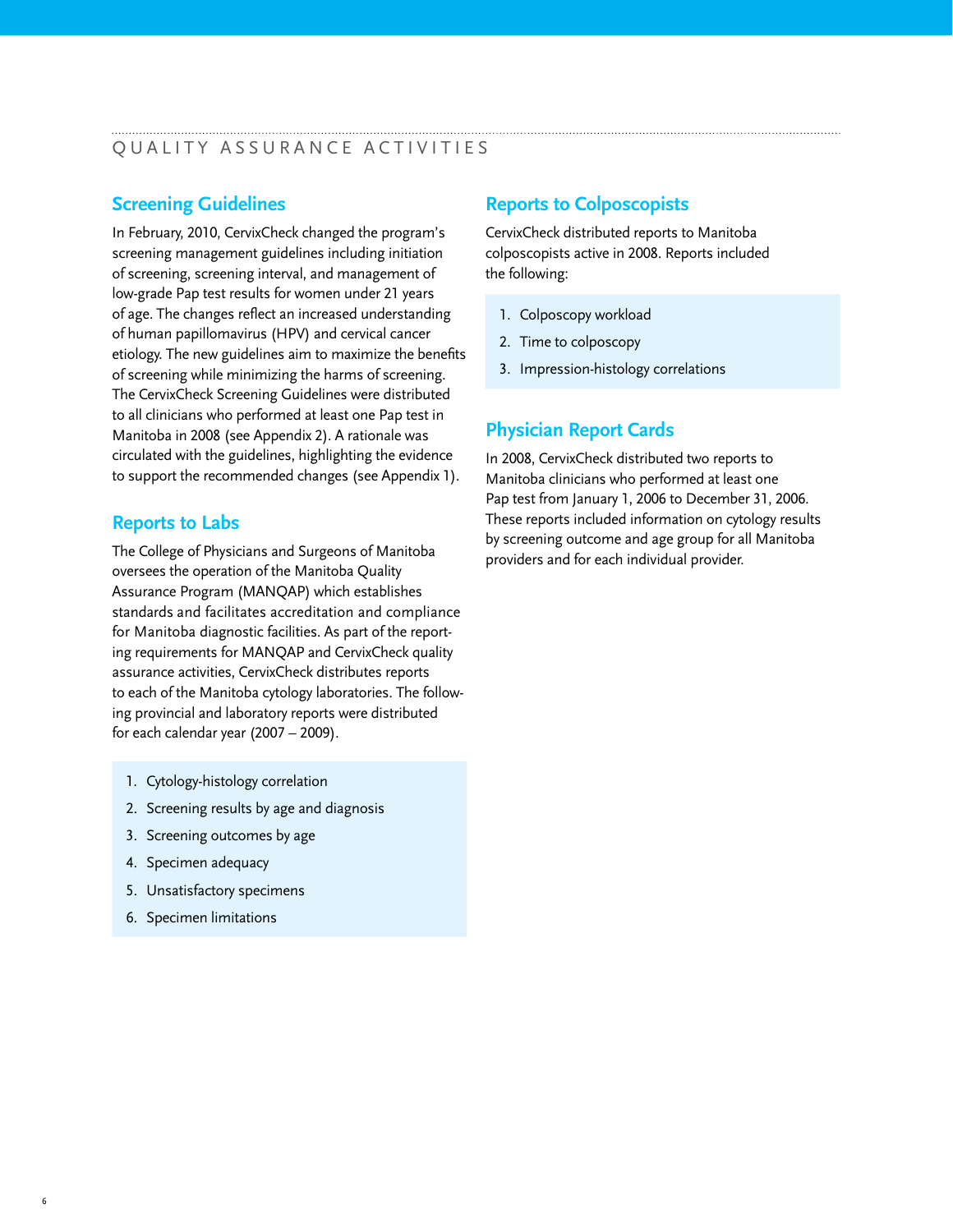### QUALITY ASSURANCE ACTIVITIES

# **Screening Guidelines**

In February, 2010, CervixCheck changed the program's screening management guidelines including initiation of screening, screening interval, and management of low-grade Pap test results for women under 21 years of age. The changes reflect an increased understanding of human papillomavirus (HPV) and cervical cancer etiology. The new guidelines aim to maximize the benefits of screening while minimizing the harms of screening. The CervixCheck Screening Guidelines were distributed to all clinicians who performed at least one Pap test in Manitoba in 2008 (see Appendix 2). A rationale was circulated with the guidelines, highlighting the evidence to support the recommended changes (see Appendix 1).

# **Reports to Labs**

The College of Physicians and Surgeons of Manitoba oversees the operation of the Manitoba Quality Assurance Program (MANQAP) which establishes standards and facilitates accreditation and compliance for Manitoba diagnostic facilities. As part of the reporting requirements for MANQAP and CervixCheck quality assurance activities, CervixCheck distributes reports to each of the Manitoba cytology laboratories. The following provincial and laboratory reports were distributed for each calendar year (2007 – 2009).

- 1. Cytology-histology correlation
- 2. Screening results by age and diagnosis
- 3. Screening outcomes by age
- 4. Specimen adequacy
- 5. Unsatisfactory specimens
- 6. Specimen limitations

# **Reports to Colposcopists**

CervixCheck distributed reports to Manitoba colposcopists active in 2008. Reports included the following:

- 1. Colposcopy workload
- 2. Time to colposcopy
- 3. Impression-histology correlations

# **Physician Report Cards**

In 2008, CervixCheck distributed two reports to Manitoba clinicians who performed at least one Pap test from January 1, 2006 to December 31, 2006. These reports included information on cytology results by screening outcome and age group for all Manitoba providers and for each individual provider.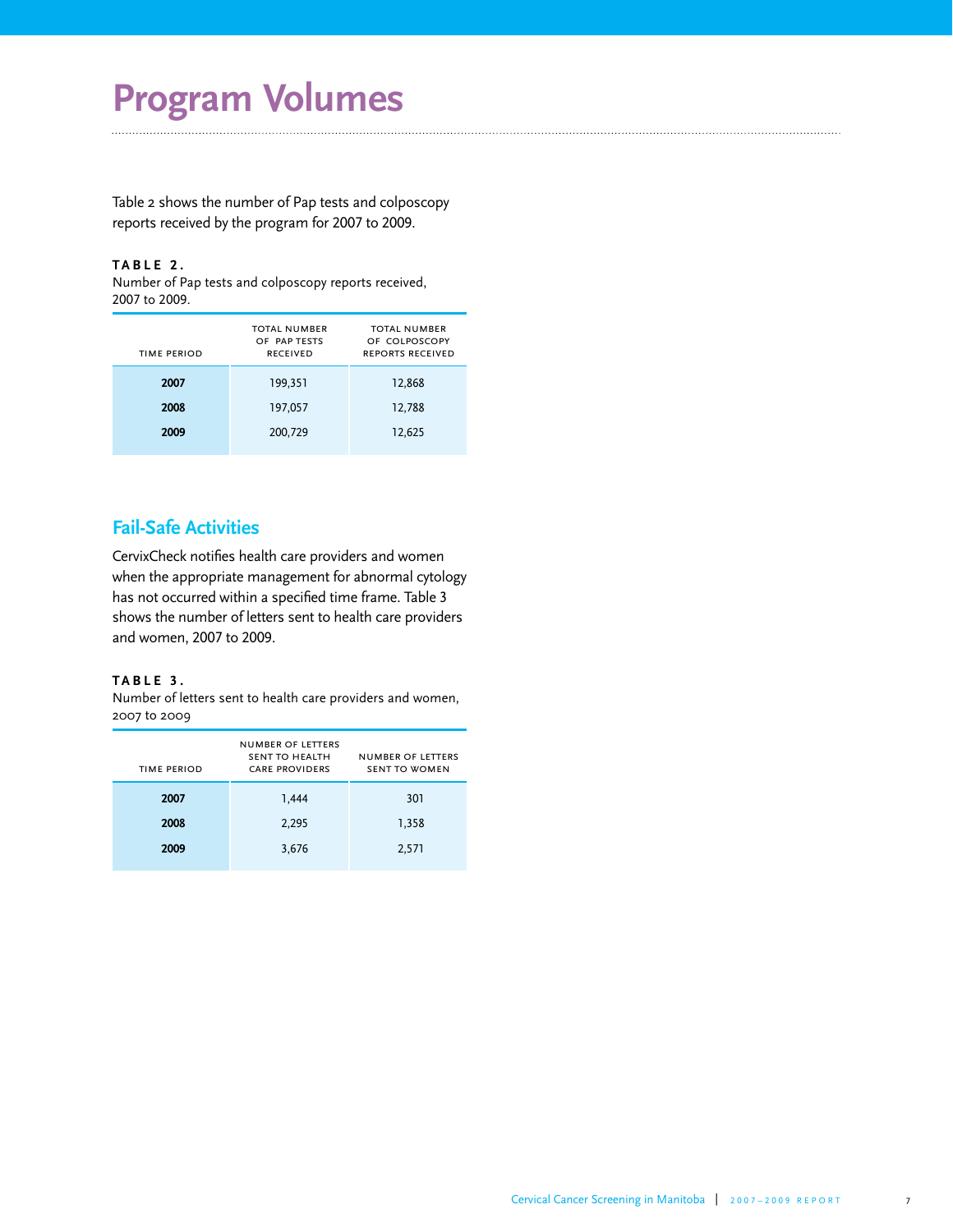# **Program Volumes**

Table 2 shows the number of Pap tests and colposcopy reports received by the program for 2007 to 2009.

#### **TABLE 2 .**

Number of Pap tests and colposcopy reports received, 2007 to 2009.

| TIME PERIOD | <b>TOTAL NUMBER</b><br>OF PAP TESTS<br><b>RECEIVED</b> | <b>TOTAL NUMBER</b><br>OF COLPOSCOPY<br><b>REPORTS RECEIVED</b> |
|-------------|--------------------------------------------------------|-----------------------------------------------------------------|
| 2007        | 199,351                                                | 12,868                                                          |
| 2008        | 197,057                                                | 12,788                                                          |
| 2009        | 200,729                                                | 12,625                                                          |
|             |                                                        |                                                                 |

# **Fail-Safe Activities**

CervixCheck notifies health care providers and women when the appropriate management for abnormal cytology has not occurred within a specified time frame. Table 3 shows the number of letters sent to health care providers and women, 2007 to 2009.

#### **TABLE 3 .**

Number of letters sent to health care providers and women, 2007 to 2009

| TIME PERIOD | <b>NUMBER OF LETTERS</b><br>SENT TO HEALTH<br><b>CARE PROVIDERS</b> | <b>NUMBER OF LETTERS</b><br><b>SENT TO WOMEN</b> |
|-------------|---------------------------------------------------------------------|--------------------------------------------------|
| 2007        | 1,444                                                               | 301                                              |
| 2008        | 2,295                                                               | 1,358                                            |
| 2009        | 3,676                                                               | 2,571                                            |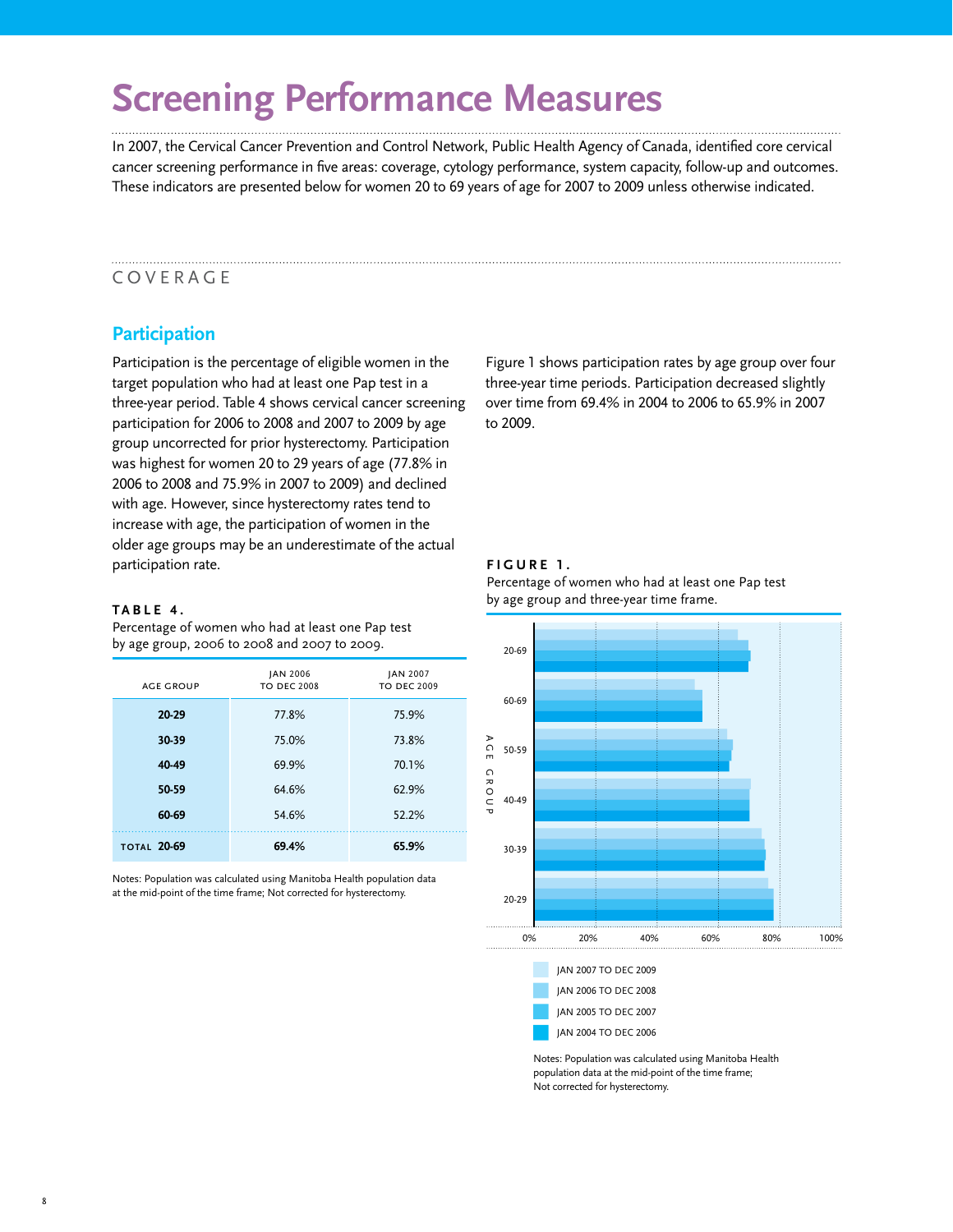# **Screening Performance Measures**

In 2007, the Cervical Cancer Prevention and Control Network, Public Health Agency of Canada, identified core cervical cancer screening performance in five areas: coverage, cytology performance, system capacity, follow-up and outcomes. These indicators are presented below for women 20 to 69 years of age for 2007 to 2009 unless otherwise indicated.

# COVERAGE

# **Participation**

Participation is the percentage of eligible women in the target population who had at least one Pap test in a three-year period. Table 4 shows cervical cancer screening participation for 2006 to 2008 and 2007 to 2009 by age group uncorrected for prior hysterectomy. Participation was highest for women 20 to 29 years of age (77.8% in 2006 to 2008 and 75.9% in 2007 to 2009) and declined with age. However, since hysterectomy rates tend to increase with age, the participation of women in the older age groups may be an underestimate of the actual participation rate.

#### **TABLE 4 .**

Percentage of women who had at least one Pap test by age group, 2006 to 2008 and 2007 to 2009.

| <b>AGE GROUP</b>   | JAN 2006<br><b>TO DEC 2008</b> | <b>JAN 2007</b><br><b>TO DEC 2009</b> |
|--------------------|--------------------------------|---------------------------------------|
| 20-29              | 77.8%                          | 75.9%                                 |
| 30-39              | 75.0%                          | 73.8%                                 |
| 40-49              | 69.9%                          | 70.1%                                 |
| 50-59              | 64.6%                          | 62.9%                                 |
| 60-69              | 54.6%                          | 52.2%                                 |
| <b>TOTAL 20-69</b> | 69.4%                          | 65.9%                                 |

Notes: Population was calculated using Manitoba Health population data at the mid-point of the time frame; Not corrected for hysterectomy.

Figure 1 shows participation rates by age group over four three-year time periods. Participation decreased slightly over time from 69.4% in 2004 to 2006 to 65.9% in 2007 to 2009.

#### **FIGURE 1 .**







JAN 2004 TO DEC 2006

Notes: Population was calculated using Manitoba Health population data at the mid-point of the time frame; Not corrected for hysterectomy.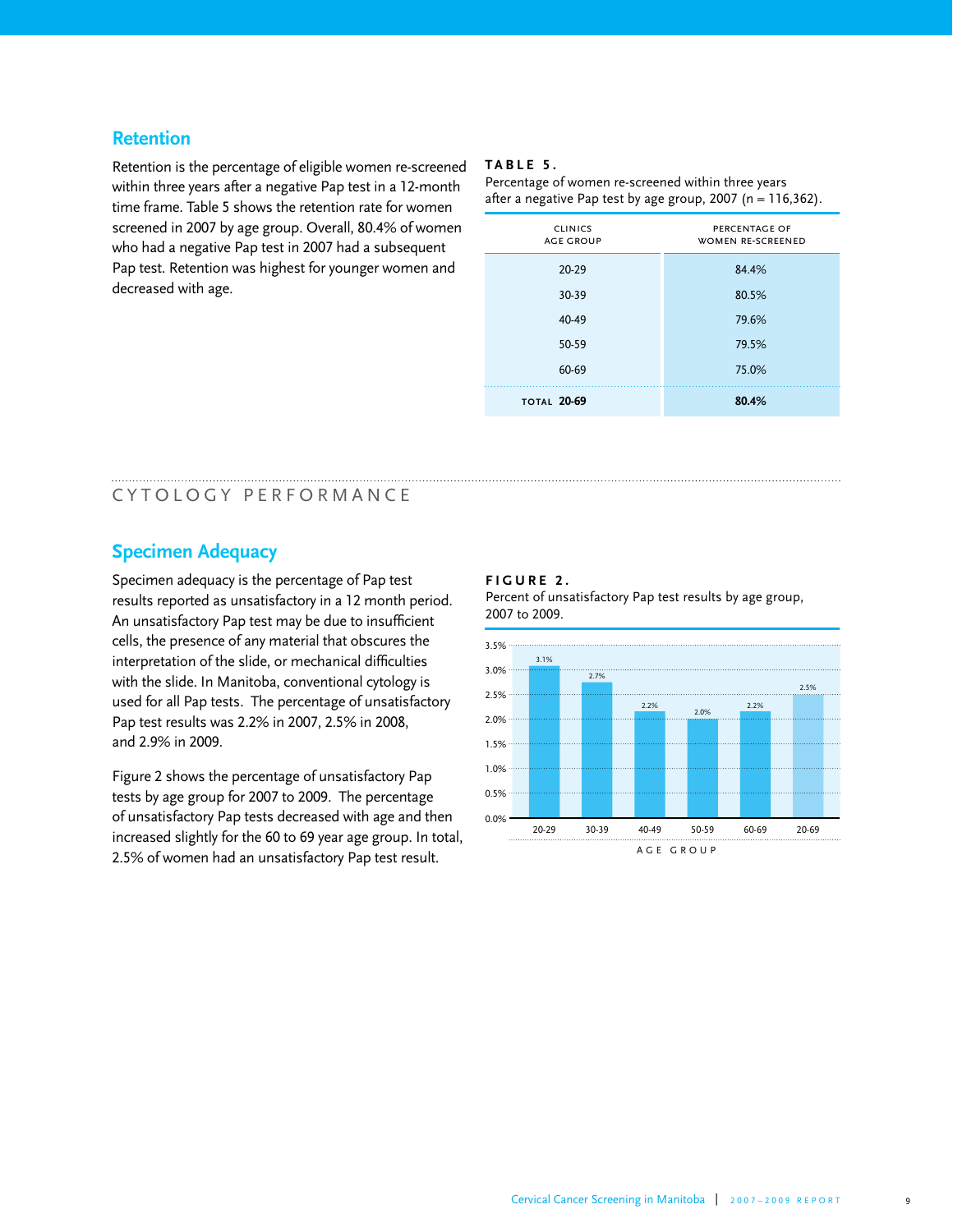#### **Retention**

Retention is the percentage of eligible women re-screened within three years after a negative Pap test in a 12-month time frame. Table 5 shows the retention rate for women screened in 2007 by age group. Overall, 80.4% of women who had a negative Pap test in 2007 had a subsequent Pap test. Retention was highest for younger women and decreased with age.

#### **TABLE 5 .**

Percentage of women re-screened within three years after a negative Pap test by age group,  $2007$  (n = 116,362).

| <b>CLINICS</b><br><b>AGE GROUP</b> | PERCENTAGE OF<br><b>WOMEN RE-SCREENED</b> |
|------------------------------------|-------------------------------------------|
| $20 - 29$                          | 84.4%                                     |
| 30-39                              | 80.5%                                     |
| 40-49                              | 79.6%                                     |
| 50-59                              | 79.5%                                     |
| 60-69                              | 75.0%                                     |
| <b>TOTAL 20-69</b>                 | 80.4%                                     |

### CYTOLOGY PERFORMANCE

### **Specimen Adequacy**

Specimen adequacy is the percentage of Pap test results reported as unsatisfactory in a 12 month period. An unsatisfactory Pap test may be due to insufficient cells, the presence of any material that obscures the interpretation of the slide, or mechanical difficulties with the slide. In Manitoba, conventional cytology is used for all Pap tests. The percentage of unsatisfactory Pap test results was 2.2% in 2007, 2.5% in 2008, and 2.9% in 2009.

Figure 2 shows the percentage of unsatisfactory Pap tests by age group for 2007 to 2009. The percentage of unsatisfactory Pap tests decreased with age and then increased slightly for the 60 to 69 year age group. In total, 2.5% of women had an unsatisfactory Pap test result.

#### **FIGURE 2 .**

Percent of unsatisfactory Pap test results by age group, 2007 to 2009.

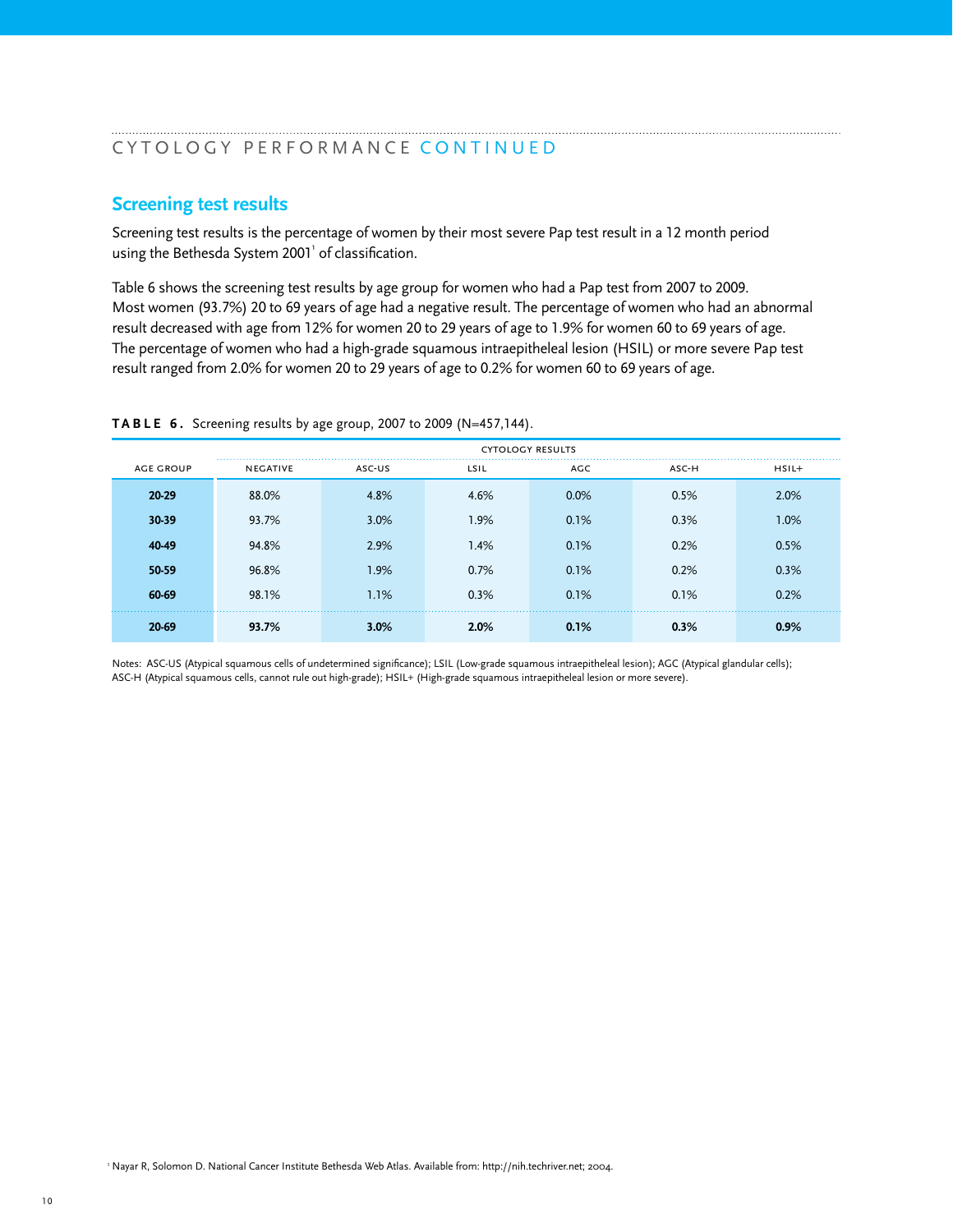#### CYTOLOGY PERFORMANCE CONTINUED

#### **Screening test results**

Screening test results is the percentage of women by their most severe Pap test result in a 12 month period using the Bethesda System 2001 $^{\rm !}$  of classification.

Table 6 shows the screening test results by age group for women who had a Pap test from 2007 to 2009. Most women (93.7%) 20 to 69 years of age had a negative result. The percentage of women who had an abnormal result decreased with age from 12% for women 20 to 29 years of age to 1.9% for women 60 to 69 years of age. The percentage of women who had a high-grade squamous intraepitheleal lesion (HSIL) or more severe Pap test result ranged from 2.0% for women 20 to 29 years of age to 0.2% for women 60 to 69 years of age.

|                  | <b>CYTOLOGY RESULTS</b><br>. |        |      |      |       |         |
|------------------|------------------------------|--------|------|------|-------|---------|
| <b>AGE GROUP</b> | <b>NEGATIVE</b>              | ASC-US | LSIL | AGC  | ASC-H | $HSIL+$ |
| 20-29            | 88.0%                        | 4.8%   | 4.6% | 0.0% | 0.5%  | 2.0%    |
| 30-39            | 93.7%                        | 3.0%   | 1.9% | 0.1% | 0.3%  | 1.0%    |
| 40-49            | 94.8%                        | 2.9%   | 1.4% | 0.1% | 0.2%  | 0.5%    |
| 50-59            | 96.8%                        | 1.9%   | 0.7% | 0.1% | 0.2%  | 0.3%    |
| 60-69            | 98.1%                        | 1.1%   | 0.3% | 0.1% | 0.1%  | 0.2%    |
| $20-69$          | 93.7%                        | 3.0%   | 2.0% | 0.1% | 0.3%  | 0.9%    |

**TABLE 6 .** Screening results by age group, 2007 to 2009 (N=457,144).

Notes: ASC-US (Atypical squamous cells of undetermined significance); LSIL (Low-grade squamous intraepitheleal lesion); AGC (Atypical glandular cells); ASC-H (Atypical squamous cells, cannot rule out high-grade); HSIL+ (High-grade squamous intraepitheleal lesion or more severe).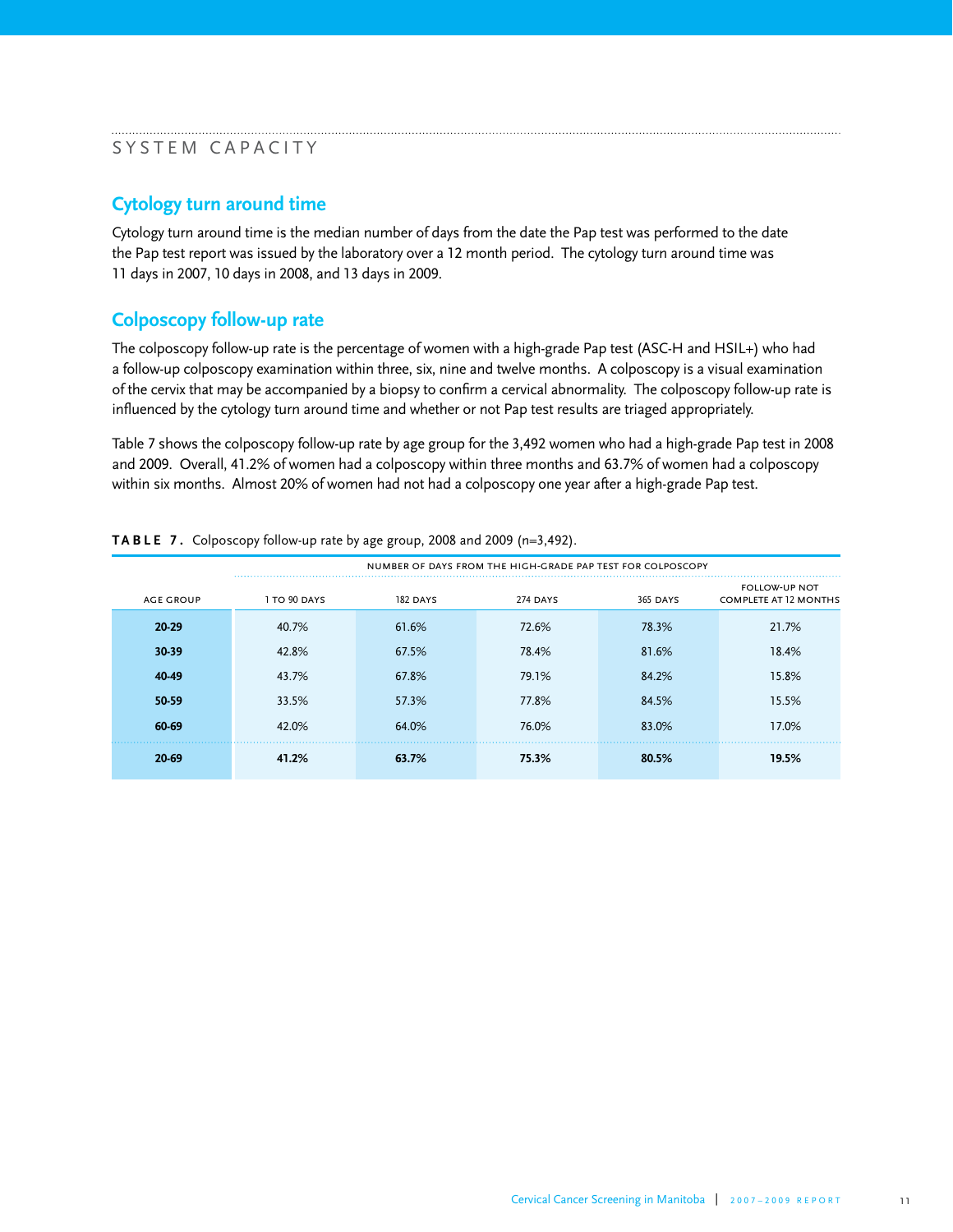#### SYSTEM CAPACITY

### **Cytology turn around time**

Cytology turn around time is the median number of days from the date the Pap test was performed to the date the Pap test report was issued by the laboratory over a 12 month period. The cytology turn around time was 11 days in 2007, 10 days in 2008, and 13 days in 2009.

# **Colposcopy follow-up rate**

The colposcopy follow-up rate is the percentage of women with a high-grade Pap test (ASC-H and HSIL+) who had a follow-up colposcopy examination within three, six, nine and twelve months. A colposcopy is a visual examination of the cervix that may be accompanied by a biopsy to confirm a cervical abnormality. The colposcopy follow-up rate is influenced by the cytology turn around time and whether or not Pap test results are triaged appropriately.

Table 7 shows the colposcopy follow-up rate by age group for the 3,492 women who had a high-grade Pap test in 2008 and 2009. Overall, 41.2% of women had a colposcopy within three months and 63.7% of women had a colposcopy within six months. Almost 20% of women had not had a colposcopy one year after a high-grade Pap test.

|                  | NUMBER OF DAYS FROM THE HIGH-GRADE PAP TEST FOR COLPOSCOPY |                 |          |                 |                                                      |
|------------------|------------------------------------------------------------|-----------------|----------|-----------------|------------------------------------------------------|
| <b>AGE GROUP</b> | 1 TO 90 DAYS                                               | <b>182 DAYS</b> | 274 DAYS | <b>365 DAYS</b> | <b>FOLLOW-UP NOT</b><br><b>COMPLETE AT 12 MONTHS</b> |
| 20-29            | 40.7%                                                      | 61.6%           | 72.6%    | 78.3%           | 21.7%                                                |
| 30-39            | 42.8%                                                      | 67.5%           | 78.4%    | 81.6%           | 18.4%                                                |
| 40-49            | 43.7%                                                      | 67.8%           | 79.1%    | 84.2%           | 15.8%                                                |
| 50-59            | 33.5%                                                      | 57.3%           | 77.8%    | 84.5%           | 15.5%                                                |
| 60-69            | 42.0%                                                      | 64.0%           | 76.0%    | 83.0%           | 17.0%                                                |
| 20-69            | 41.2%                                                      | 63.7%           | 75.3%    | 80.5%           | 19.5%                                                |

**TABLE 7 .** Colposcopy follow-up rate by age group, 2008 and 2009 (n=3,492).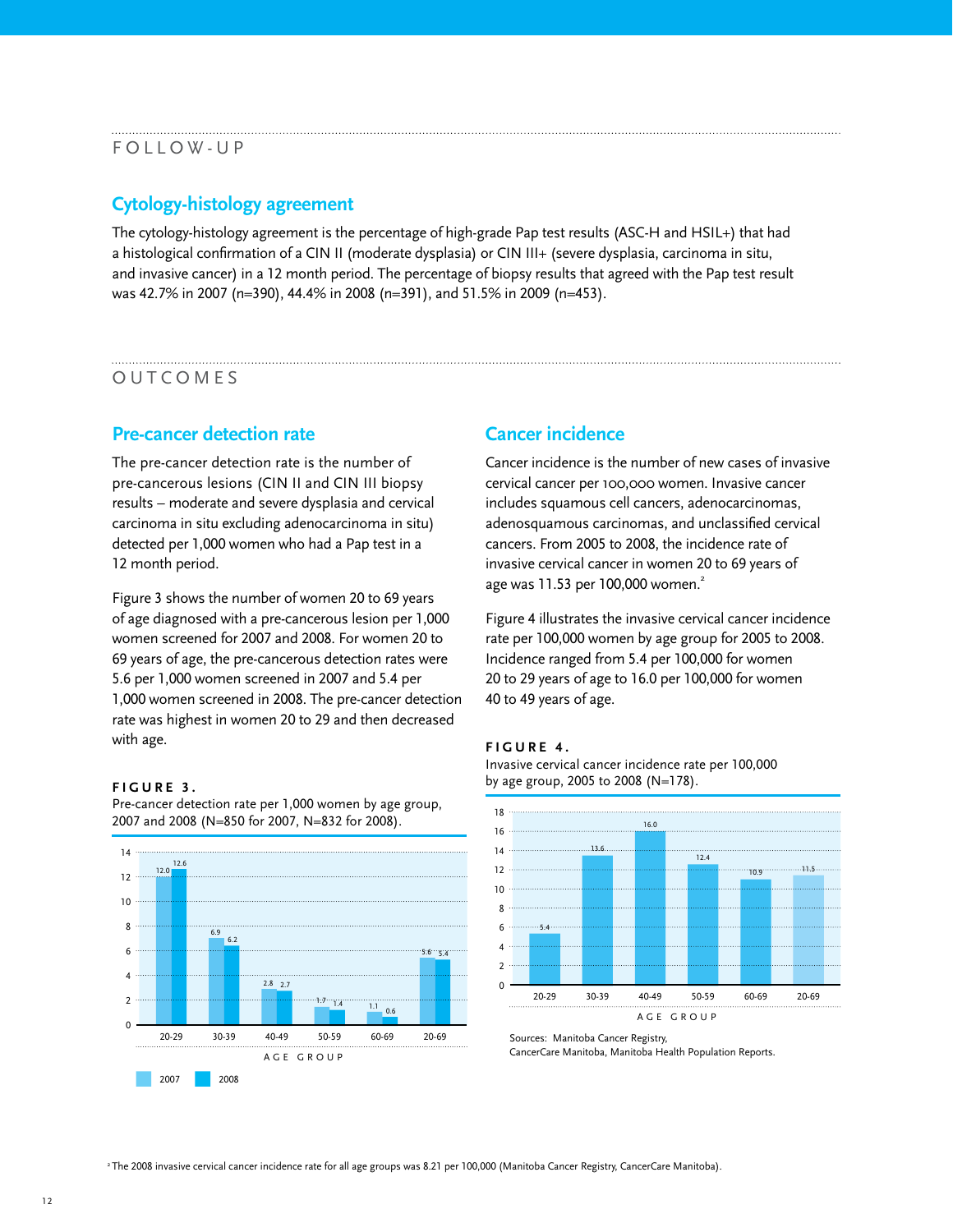#### FOLLOW-UP

### **Cytology-histology agreement**

The cytology-histology agreement is the percentage of high-grade Pap test results (ASC-H and HSIL+) that had a histological confirmation of a CIN II (moderate dysplasia) or CIN III+ (severe dysplasia, carcinoma in situ, and invasive cancer) in a 12 month period. The percentage of biopsy results that agreed with the Pap test result was 42.7% in 2007 (n=390), 44.4% in 2008 (n=391), and 51.5% in 2009 (n=453).

#### OUTCOMES

#### **Pre-cancer detection rate**

The pre-cancer detection rate is the number of pre-cancerous lesions (CIN II and CIN III biopsy results – moderate and severe dysplasia and cervical carcinoma in situ excluding adenocarcinoma in situ) detected per 1,000 women who had a Pap test in a 12 month period.

Figure 3 shows the number of women 20 to 69 years of age diagnosed with a pre-cancerous lesion per 1,000 women screened for 2007 and 2008. For women 20 to 69 years of age, the pre-cancerous detection rates were 5.6 per 1,000 women screened in 2007 and 5.4 per 1,000 women screened in 2008. The pre-cancer detection rate was highest in women 20 to 29 and then decreased with age.

#### **FIGURE 3 .**

Pre-cancer detection rate per 1,000 women by age group, 2007 and 2008 (N=850 for 2007, N=832 for 2008).



#### **Cancer incidence**

Cancer incidence is the number of new cases of invasive cervical cancer per 100,000 women. Invasive cancer includes squamous cell cancers, adenocarcinomas, adenosquamous carcinomas, and unclassified cervical cancers. From 2005 to 2008, the incidence rate of invasive cervical cancer in women 20 to 69 years of age was 11.53 per 100,000 women. 2

Figure 4 illustrates the invasive cervical cancer incidence rate per 100,000 women by age group for 2005 to 2008. Incidence ranged from 5.4 per 100,000 for women 20 to 29 years of age to 16.0 per 100,000 for women 40 to 49 years of age.

#### **FIGURE 4 .**





Sources: Manitoba Cancer Registry, CancerCare Manitoba, Manitoba Health Population Reports.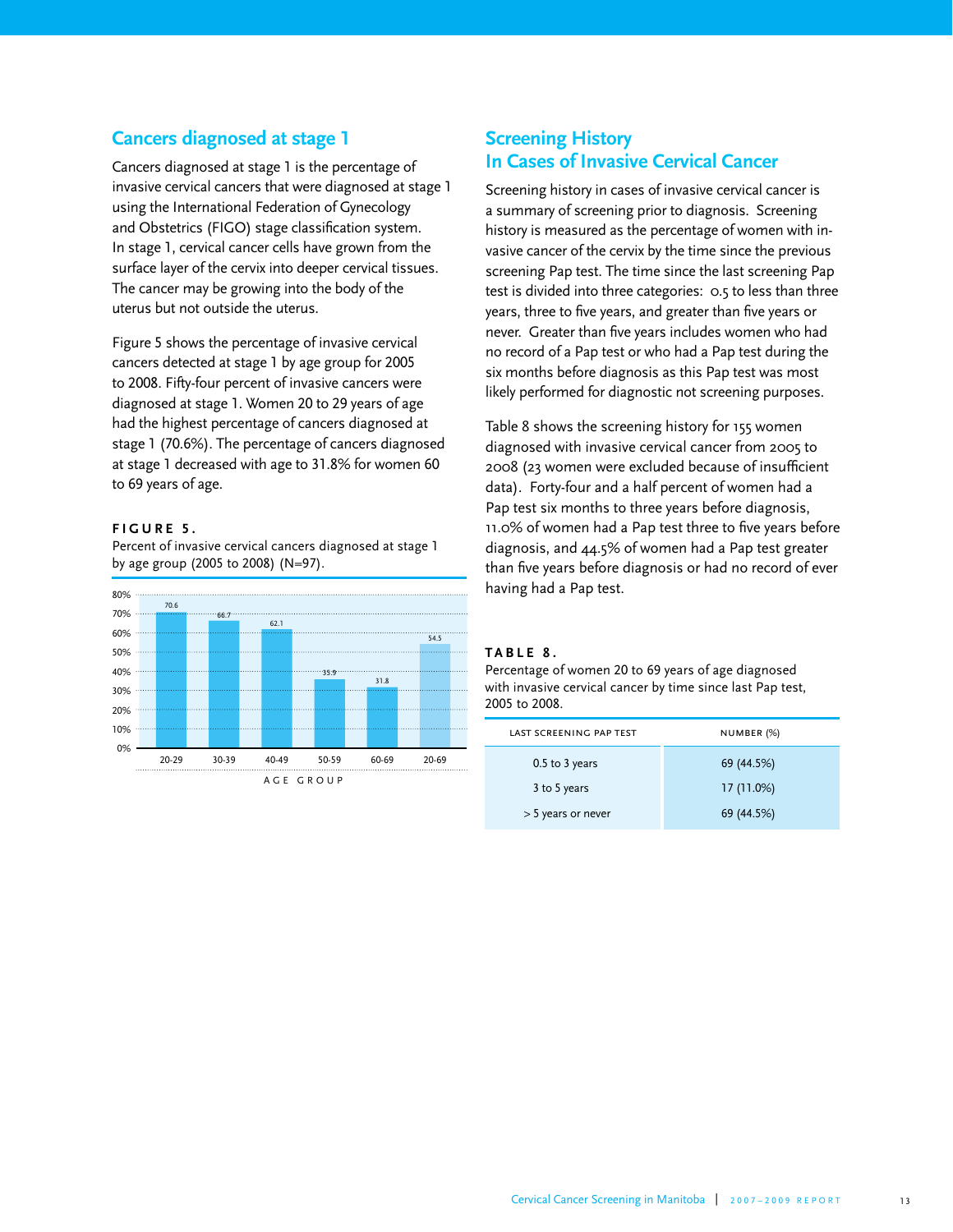### **Cancers diagnosed at stage 1**

Cancers diagnosed at stage 1 is the percentage of invasive cervical cancers that were diagnosed at stage 1 using the International Federation of Gynecology and Obstetrics (FIGO) stage classification system. In stage 1, cervical cancer cells have grown from the surface layer of the cervix into deeper cervical tissues. The cancer may be growing into the body of the uterus but not outside the uterus.

Figure 5 shows the percentage of invasive cervical cancers detected at stage 1 by age group for 2005 to 2008. Fifty-four percent of invasive cancers were diagnosed at stage 1. Women 20 to 29 years of age had the highest percentage of cancers diagnosed at stage 1 (70.6%). The percentage of cancers diagnosed at stage 1 decreased with age to 31.8% for women 60 to 69 years of age.

#### **FIGURE 5 .**

Percent of invasive cervical cancers diagnosed at stage 1 by age group (2005 to 2008) (N=97).



# **Screening History In Cases of Invasive Cervical Cancer**

Screening history in cases of invasive cervical cancer is a summary of screening prior to diagnosis. Screening history is measured as the percentage of women with invasive cancer of the cervix by the time since the previous screening Pap test. The time since the last screening Pap test is divided into three categories: 0.5 to less than three years, three to five years, and greater than five years or never. Greater than five years includes women who had no record of a Pap test or who had a Pap test during the six months before diagnosis as this Pap test was most likely performed for diagnostic not screening purposes.

Table 8 shows the screening history for 155 women diagnosed with invasive cervical cancer from 2005 to 2008 (23 women were excluded because of insufficient data). Forty-four and a half percent of women had a Pap test six months to three years before diagnosis, 11.0% of women had a Pap test three to five years before diagnosis, and 44.5% of women had a Pap test greater than five years before diagnosis or had no record of ever having had a Pap test.

#### **TABLE 8 .**

Percentage of women 20 to 69 years of age diagnosed with invasive cervical cancer by time since last Pap test, 2005 to 2008.

| LAST SCREENING PAP TEST | NUMBER (%) |
|-------------------------|------------|
| $0.5$ to 3 years        | 69 (44.5%) |
| 3 to 5 years            | 17(11.0%)  |
| > 5 years or never      | 69 (44.5%) |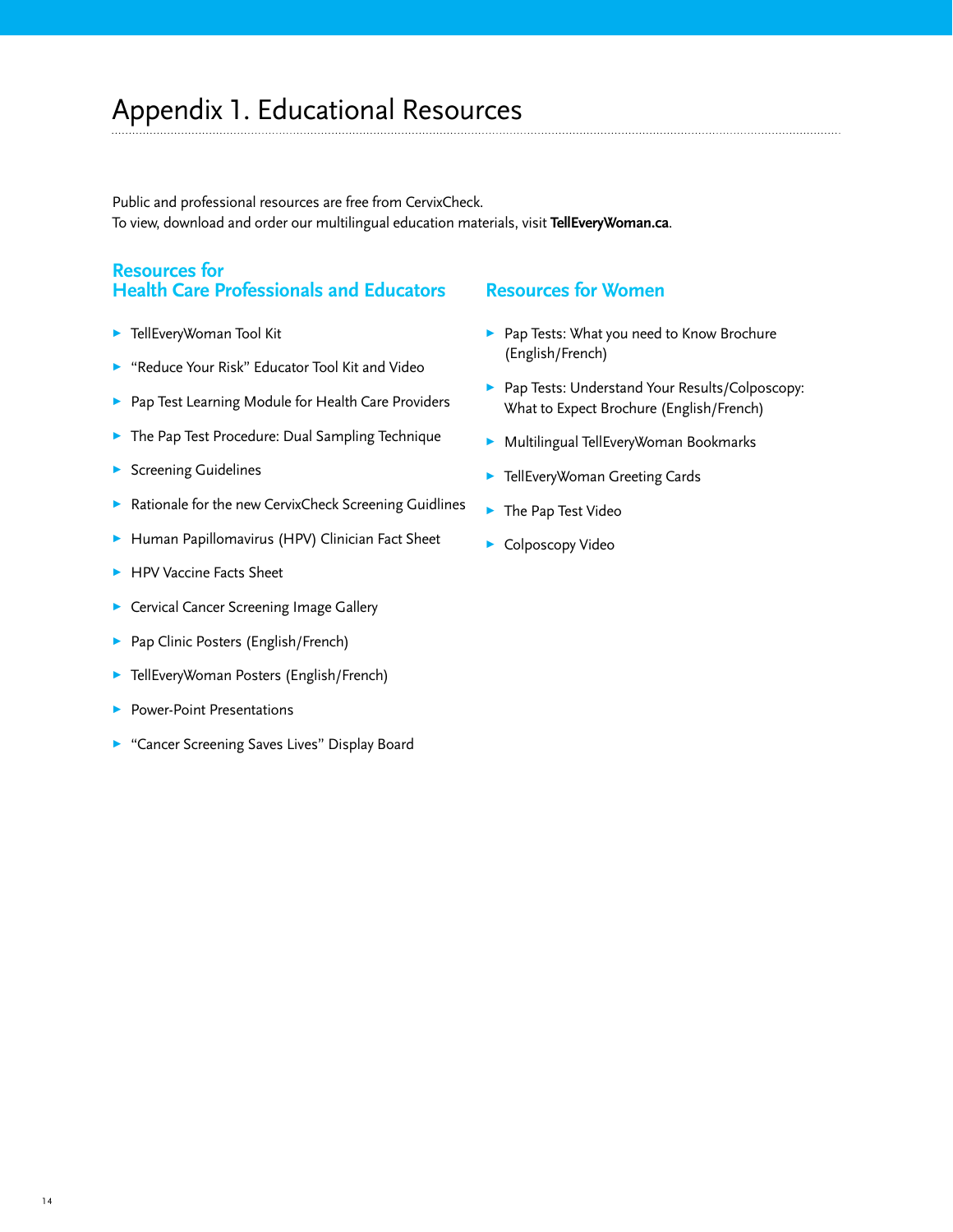Public and professional resources are free from CervixCheck. To view, download and order our multilingual education materials, visit **TellEveryWoman.ca**.

# **Resources for Health Care Professionals and Educators**

- **>** [TellEveryWoman Tool Kit](http://www.cancercare.mb.ca/home/prevention_and_screening/general_public_screening_programs/manitoba_cervical_cancer_screening_program/resources/telleverywoman_toolkit/)
- 3 ["Reduce Your Risk" Educator Tool Kit and Video](http://www.cancercare.mb.ca/home/prevention_and_screening/professional_screening_programs/cervical_cancer_screening/resources/reduce_your_risk_video/)
- **>** [Pap Test Learning Module for Health Care Providers](http://www.cancercare.mb.ca/home/prevention_and_screening/professional_screening_programs/cervical_cancer_screening/downloadorder_publications/pap_test_learning_module/)
- [The Pap Test Procedure: Dual Sampling Technique](http://www.cancercare.mb.ca/resource/File/CervixCheck/HealthCareProfessional/CervixCheck_Dual_Sampling_Technique_Jul11.pdf)
- $\blacktriangleright$  [Screening Guidelines](http://www.cancercare.mb.ca/resource/File/MCCSP/HealthCareProfessional/MCCSP_Guideline_Chart_Jan10.pdf)
- [Rationale for the new CervixCheck Screening Guidlines](http://www.cancercare.mb.ca/resource/File/CervixCheck/HealthCareProfessional/CervixCheck_Screening_Guidelines-Provider_Jan11.pdf)
- ▶ [Human Papillomavirus \(HPV\) Clinician Fact Sheet](http://www.cancercare.mb.ca/resource/File/MCCSP/HPV_Clinician_Fact_Sheet_aug09.pdf)
- **> [HPV Vaccine Facts Sheet](http://www.cancercare.mb.ca/resource/File/MCCSP/Vaccine_Fact_Sheet_Apr2010.pdf)**
- **>** [Cervical Cancer Screening Image Gallery](http://www.cancercare.mb.ca/resource/File/MCCSP/Image_Gallery.pdf)
- ▶ Pap Clinic Posters [\(English](http://www.cancercare.mb.ca/resource/File/CervixCheck/HealthCareProfessional/CervixCheck_Year_Round_Clinic_Poster_Eng.pdf)[/French\)](http://www.cancercare.mb.ca/resource/File/CervixCheck/HealthCareProfessional/CervixCheck_Year_Round_Clinic_Poster_Fr.pdf)
- **>** [TellEveryWoman Posters \(English/French\)](http://www.cancercare.mb.ca/index.cfm?pageid=276)
- Power-Point Presentations
- ["Cancer Screening Saves Lives" Display Board](http://www.cancercare.mb.ca/resource/Image/Screening/getchecked_Screening_Display.jpg)

#### **Resources for Women**

- **>** Pap Tests: What you need to Know Brochure [\(English](http://www.cancercare.mb.ca/resource/File/CervixCheck/CervixCheck_PapTests_WhatYouNeedToKnow_Eng_Jul11.pdf)[/French\)](http://www.cancercare.mb.ca/resource/File/CervixCheck/CervixCheck_PapTests_WhatYouNeedToKnow_Fr_Jul11.pdf)
- **>** Pap Tests: Understand Your Results/Colposcopy: What to Expect Brochure [\(English](http://www.cancercare.mb.ca/resource/File/CervixCheck/CervixCheck_Colposcopy_Results_Eng_Jul11.pdf)[/French\)](http://www.cancercare.mb.ca/resource/File/CervixCheck/CervixCheck_Colposcopy_Results_Fr_Jul11.pdf)
- **> Multilingual TellEveryWoman Bookmarks**
- **>** [TellEveryWoman Greeting Cards](http://www.cancercare.mb.ca/index.cfm?pageid=276)
- [The Pap Test Video](http://www.cancercare.mb.ca/home/prevention_and_screening/general_public_screening_programs/manitoba_cervical_cancer_screening_program/view_cervical_cancer_screening_videos/the_pap_test/)
- Colposcopy Video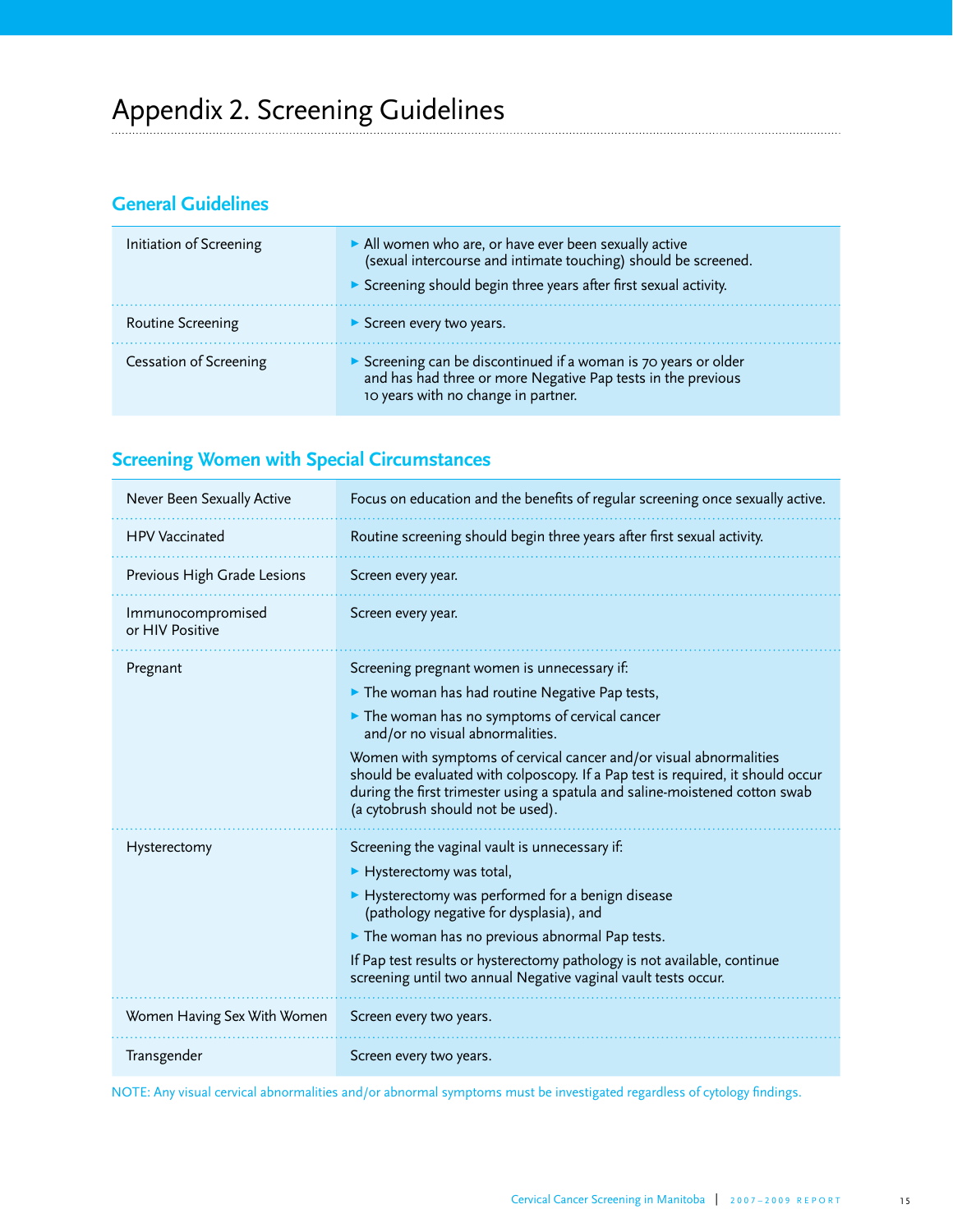# **General Guidelines**

| Initiation of Screening | All women who are, or have ever been sexually active<br>(sexual intercourse and intimate touching) should be screened.<br>Screening should begin three years after first sexual activity. |
|-------------------------|-------------------------------------------------------------------------------------------------------------------------------------------------------------------------------------------|
| Routine Screening       | $\triangleright$ Screen every two years.                                                                                                                                                  |
| Cessation of Screening  | Screening can be discontinued if a woman is 70 years or older<br>and has had three or more Negative Pap tests in the previous<br>10 years with no change in partner.                      |

# **Screening Women with Special Circumstances**

| Never Been Sexually Active           | Focus on education and the benefits of regular screening once sexually active.                                                                                                                                                                                                                                                                                                                                                                               |  |
|--------------------------------------|--------------------------------------------------------------------------------------------------------------------------------------------------------------------------------------------------------------------------------------------------------------------------------------------------------------------------------------------------------------------------------------------------------------------------------------------------------------|--|
| <b>HPV Vaccinated</b>                | Routine screening should begin three years after first sexual activity.                                                                                                                                                                                                                                                                                                                                                                                      |  |
| Previous High Grade Lesions          | Screen every year.                                                                                                                                                                                                                                                                                                                                                                                                                                           |  |
| Immunocompromised<br>or HIV Positive | Screen every year.                                                                                                                                                                                                                                                                                                                                                                                                                                           |  |
| Pregnant                             | Screening pregnant women is unnecessary if:<br>The woman has had routine Negative Pap tests,<br>The woman has no symptoms of cervical cancer<br>and/or no visual abnormalities.<br>Women with symptoms of cervical cancer and/or visual abnormalities<br>should be evaluated with colposcopy. If a Pap test is required, it should occur<br>during the first trimester using a spatula and saline-moistened cotton swab<br>(a cytobrush should not be used). |  |
| Hysterectomy                         | Screening the vaginal vault is unnecessary if:<br>$\blacktriangleright$ Hysterectomy was total,<br>Hysterectomy was performed for a benign disease<br>(pathology negative for dysplasia), and<br>$\triangleright$ The woman has no previous abnormal Pap tests.<br>If Pap test results or hysterectomy pathology is not available, continue<br>screening until two annual Negative vaginal vault tests occur.                                                |  |
| Women Having Sex With Women          | Screen every two years.                                                                                                                                                                                                                                                                                                                                                                                                                                      |  |
| Transgender                          | Screen every two years.                                                                                                                                                                                                                                                                                                                                                                                                                                      |  |

NOTE: Any visual cervical abnormalities and/or abnormal symptoms must be investigated regardless of cytology findings.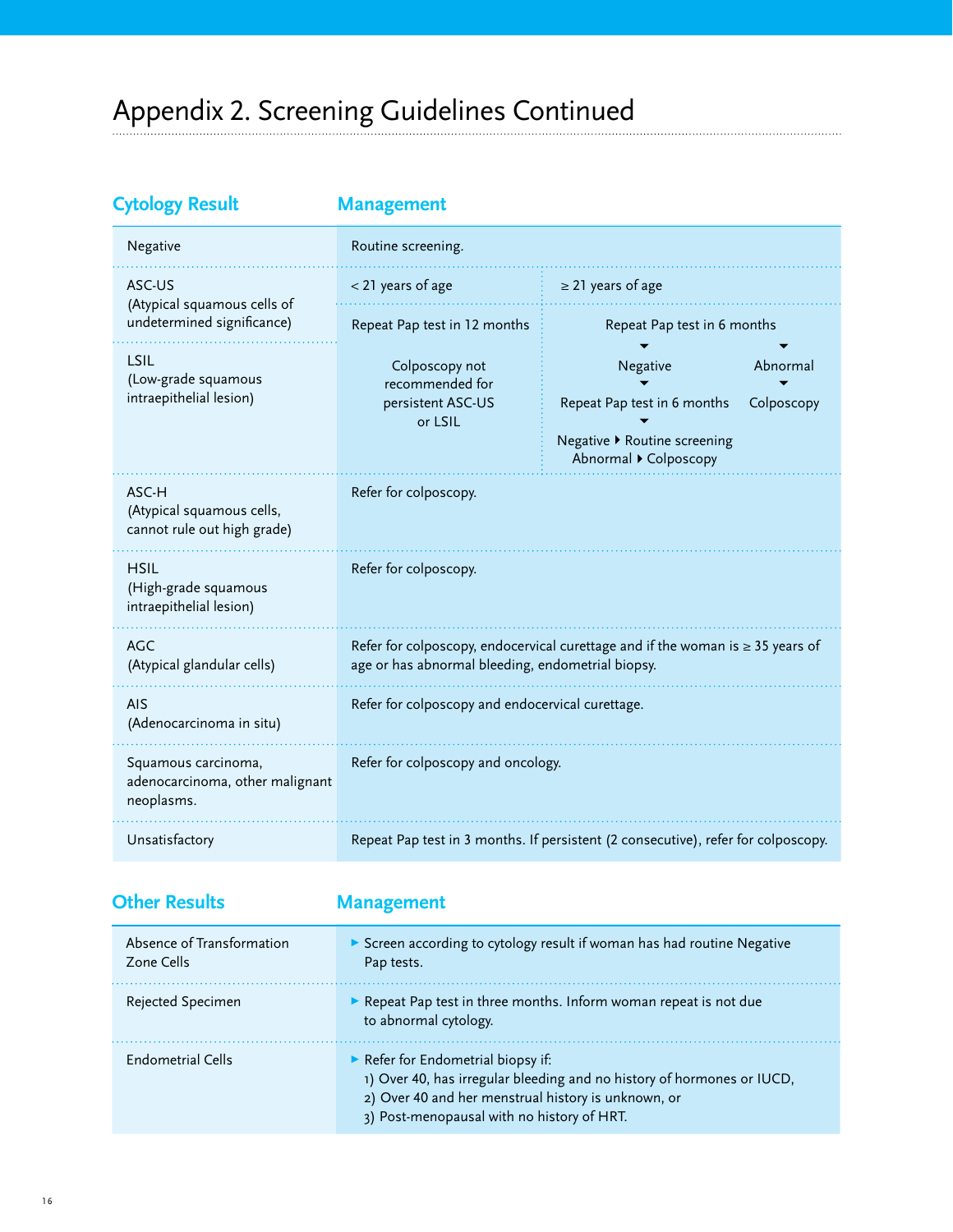# Appendix 2. Screening Guidelines Continued

| <b>Cytology Result</b>                                               | <b>Management</b>                                                                                                                        |                                                                                                                          |
|----------------------------------------------------------------------|------------------------------------------------------------------------------------------------------------------------------------------|--------------------------------------------------------------------------------------------------------------------------|
| Negative                                                             | Routine screening.                                                                                                                       |                                                                                                                          |
| ASC-US<br>(Atypical squamous cells of<br>undetermined significance)  | < 21 years of age                                                                                                                        | $\geq$ 21 years of age                                                                                                   |
|                                                                      | Repeat Pap test in 12 months                                                                                                             | Repeat Pap test in 6 months                                                                                              |
| LSIL<br>(Low-grade squamous<br>intraepithelial lesion)               | Colposcopy not<br>recommended for<br>persistent ASC-US<br>or LSIL                                                                        | Negative<br>Abnormal<br>Repeat Pap test in 6 months<br>Colposcopy<br>Negative ▶ Routine screening<br>Abnormal Colposcopy |
| ASC-H<br>(Atypical squamous cells,<br>cannot rule out high grade)    | Refer for colposcopy.                                                                                                                    |                                                                                                                          |
| <b>HSIL</b><br>(High-grade squamous<br>intraepithelial lesion)       | Refer for colposcopy.                                                                                                                    |                                                                                                                          |
| <b>AGC</b><br>(Atypical glandular cells)                             | Refer for colposcopy, endocervical curettage and if the woman is $\geq 35$ years of<br>age or has abnormal bleeding, endometrial biopsy. |                                                                                                                          |
| <b>AIS</b><br>(Adenocarcinoma in situ)                               | Refer for colposcopy and endocervical curettage.                                                                                         |                                                                                                                          |
| Squamous carcinoma,<br>adenocarcinoma, other malignant<br>neoplasms. | Refer for colposcopy and oncology.                                                                                                       |                                                                                                                          |
| Unsatisfactory                                                       | Repeat Pap test in 3 months. If persistent (2 consecutive), refer for colposcopy.                                                        |                                                                                                                          |

| <b>Other Results</b>                    | <b>Management</b>                                                                                                                                                                                               |
|-----------------------------------------|-----------------------------------------------------------------------------------------------------------------------------------------------------------------------------------------------------------------|
| Absence of Transformation<br>Zone Cells | Screen according to cytology result if woman has had routine Negative<br>Pap tests.                                                                                                                             |
| Rejected Specimen                       | $\triangleright$ Repeat Pap test in three months. Inform woman repeat is not due<br>to abnormal cytology.                                                                                                       |
| <b>Endometrial Cells</b>                | Refer for Endometrial biopsy if:<br>1) Over 40, has irregular bleeding and no history of hormones or IUCD,<br>2) Over 40 and her menstrual history is unknown, or<br>3) Post-menopausal with no history of HRT. |